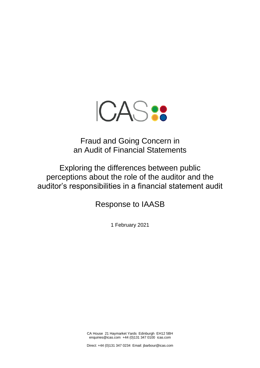

# Fraud and Going Concern in an Audit of Financial Statements

Exploring the differences between public perceptions about the role of the auditor and the auditor's responsibilities in a financial statement audit

Response to IAASB

1 February 2021

CA House 21 Haymarket Yards Edinburgh EH12 5BH enquiries@icas.com +44 (0)131 347 0100 icas.com

Direct: +44 (0)131 347 0234 Email: jbarbour@icas.com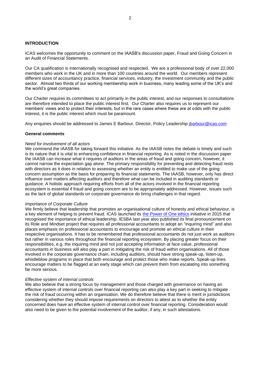#### **INTRODUCTION**

ICAS welcomes the opportunity to comment on the IAASB's discussion paper, Fraud and Going Concern in an Audit of Financial Statements.

Our CA qualification is internationally recognised and respected. We are a professional body of over 22,000 members who work in the UK and in more than 100 countries around the world. Our members represent different sizes of accountancy practice, financial services, industry, the investment community and the public sector. Almost two thirds of our working membership work in business, many leading some of the UK's and the world's great companies.

Our Charter requires its committees to act primarily in the public interest, and our responses to consultations are therefore intended to place the public interest first. Our Charter also requires us to represent our members' views and to protect their interests, but in the rare cases where these are at odds with the public interest, it is the public interest which must be paramount.

Any enquiries should be addressed to James E Barbour, Director, Policy Leadership [jbarbour@icas.com](mailto:jbarbour@icas.com)

#### **General comments**

#### *Need for involvement of all actors*

We commend the IAASB for taking forward this initiative. As the IAASB notes the debate is timely and such is its nature that it is vital to enhancing confidence in financial reporting. As is noted in the discussion paper the IAASB can increase what it requires of auditors in the areas of fraud and going concern, however, it cannot narrow the expectation gap alone. The primary responsibility for preventing and detecting fraud rests with directors as it does in relation to assessing whether an entity is entitled to make use of the going concern assumption as the basis for preparing its financial statements. The IAASB, however, only has direct influence over matters affecting auditors and therefore what can be included in auditing standards or guidance. A holistic approach requiring efforts from all of the actors involved in the financial reporting ecosystem is essential if fraud and going concern are to be appropriately addressed. However, issues such as the lack of global standards on corporate governance do bring challenges in that regard.

#### *Importance of Corporate Culture*

We firmly believe that leadership that promotes an organisational culture of honesty and ethical behaviour, is a key element of helping to prevent fraud. ICAS launched its [the Power of One ethics](https://www.icas.com/professional-resources/ethics/resources-and-support/ethics-and-the-power-of-one) initiative in 2015 that recognised the importance of ethical leadership. IESBA last year also published its final pronouncement on its Role and Mindset project that requires all professional accountants to adopt an "inquiring mind" and also places emphasis on professional accountants to encourage and promote an ethical culture in their respective organisations. It has to be remembered that professional accountants do not just work as auditors but rather in various roles throughout the financial reporting ecosystem. By placing greater focus on their responsibilities, e.g. the inquiring mind and not just accepting information at face value, professional accountants in business will also play a part in mitigating the risk of fraud within organisations. All of those involved in the corporate governance chain, including auditors, should have strong speak-up, listen-up, whistleblow programs in place that both encourage and protect those who make reports. Speak-up lines encourage matters to be flagged at an early stage which can prevent them from escalating into something far more serious.

#### *Effective system of internal controls*

We also believe that a strong focus by management and those charged with governance on having an effective system of internal controls over financial reporting can also play a key part in seeking to mitigate the risk of fraud occurring within an organisation. We do therefore believe that there is merit in jurisdictions considering whether they should impose requirements on directors to attest as to whether the entity concerned does have an effective system of internal control over financial reporting. Consideration would also need to be given to the potential involvement of the auditor, if any, in such attestations.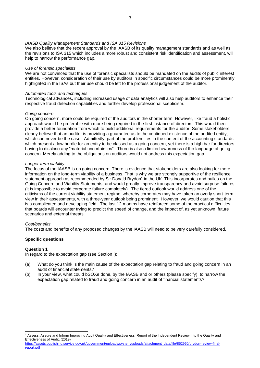#### *IAASB Quality Management Standards and ISA 315 Revisions*

We also believe that the recent approval by the IAASB of its quality management standards and as well as the revisions to ISA 315 which includes a more robust and consistent risk identification and assessment, will help to narrow the performance gap.

#### *Use of forensic specialists*

We are not convinced that the use of forensic specialists should be mandated on the audits of public interest entities. However, consideration of their use by auditors in specific circumstances could be more prominently highlighted in the ISAs but their use should be left to the professional judgement of the auditor.

#### *Automated tools and techniques*

Technological advances, including increased usage of data analytics will also help auditors to enhance their respective fraud detection capabilities and further develop professional scepticism.

## *Going concern*

On going concern, more could be required of the auditors in the shorter term. However, like fraud a holistic approach would be preferable with more being required in the first instance of directors. This would then provide a better foundation from which to build additional requirements for the auditor. Some stakeholders clearly believe that an auditor is providing a guarantee as to the continued existence of the audited entity, which can never be the case. Admittedly, part of the problem lies in the content of the accounting standards which present a low hurdle for an entity to be classed as a going concern, yet there is a high bar for directors having to disclose any "material uncertainties". There is also a limited awareness of the language of going concern. Merely adding to the obligations on auditors would not address this expectation gap.

## *Longer-term viability*

The focus of the IAASB is on going concern. There is evidence that stakeholders are also looking for more information on the long-term viability of a business. That is why we are strongly supportive of the resilience statement approach as recommended by Sir Donald Brydon<sup>1</sup> in the UK. This incorporates and builds on the Going Concern and Viability Statements, and would greatly improve transparency and avoid surprise failures (it is impossible to avoid corporate failure completely). The tiered outlook would address one of the criticisms of the current viability statement regime, whereby corporates may have taken an overly short-term view in their assessments, with a three-year outlook being prominent. However, we would caution that this is a complicated and developing field. The last 12 months have reinforced some of the practical difficulties that boards will encounter trying to predict the speed of change, and the impact of, as yet unknown, future scenarios and external threats.

#### *Cost/benefits*

The costs and benefits of any proposed changes by the IAASB will need to be very carefully considered.

# **Specific questions**

# **Question 1**

In regard to the expectation gap (see Section I):

- (a) What do you think is the main cause of the expectation gap relating to fraud and going concern in an audit of financial statements?
- (b) In your view, what could bSOXe done, by the IAASB and or others (please specify), to narrow the expectation gap related to fraud and going concern in an audit of financial statements?

<sup>1</sup> Assess, Assure and Inform Improving Audit Quality and Effectiveness: Report of the Independent Review Into the Quality and Effectiveness of Audit, (2019)

[https://assets.publishing.service.gov.uk/government/uploads/system/uploads/attachment\\_data/file/852960/brydon-review-final](https://assets.publishing.service.gov.uk/government/uploads/system/uploads/attachment_data/file/852960/brydon-review-final-report.pdf)[report.pdf](https://assets.publishing.service.gov.uk/government/uploads/system/uploads/attachment_data/file/852960/brydon-review-final-report.pdf)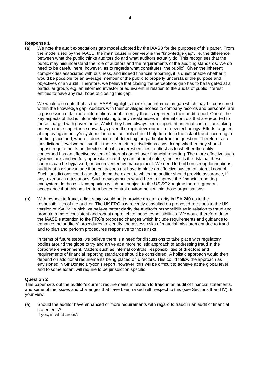#### **Response 1**

(a) We note the audit expectations gap model adopted by the IAASB for the purposes of this paper. From the model used by the IAASB, the main cause in our view is the "knowledge gap", i.e. the difference between what the public thinks auditors do and what auditors actually do. This recognises that the public may misunderstand the role of auditors and the requirements of the auditing standards. We do need to be careful here, however, as to regards what constitutes "the public". Given the inherent complexities associated with business, and indeed financial reporting, it is questionable whether it would be possible for an average member of the public to properly understand the purpose and objectives of an audit. Therefore, we believe that closing the perceptions gap has to be targeted at a particular group, e.g. an informed investor or equivalent in relation to the audits of public interest entities to have any real hope of closing this gap.

We would also note that as the IAASB highlights there is an information gap which may be consumed within the knowledge gap. Auditors with their privileged access to company records and personnel are in possession of far more information about an entity than is reported in their audit report. One of the key aspects of that is information relating to any weaknesses in internal controls that are reported to those charged with governance. Whilst they have always been important, internal controls are taking on even more importance nowadays given the rapid development of new technology. Efforts targeted at improving an entity's system of internal controls should help to reduce the risk of fraud occurring in the first place and, where it does occur, of detecting the particular fraud in question. Therefore, at a jurisdictional level we believe that there is merit in jurisdictions considering whether they should impose requirements on directors of public interest entities to attest as to whether the entity concerned has an effective system of internal control over financial reporting. The more effective such systems are, and we fully appreciate that they cannot be absolute, the less is the risk that these controls can be bypassed, or circumvented by management. We need to build on strong foundations, audit is at a disadvantage if an entity does not have in place an effective system of internal control. Such jurisdictions could also decide on the extent to which the auditor should provide assurance, if any, over such attestations. Such developments would help to improve the financial reporting ecosystem. In those UK companies which are subject to the US SOX regime there is general acceptance that this has led to a better control environment within those organisations.

(b) With respect to fraud, a first stage would be to provide greater clarity in ISA 240 as to the responsibilities of the auditor. The UK FRC has recently consulted on proposed revisions to the UK version of ISA 240 which we believe better clarify the auditor's responsibilities in relation to fraud and promote a more consistent and robust approach to those responsibilities. We would therefore draw the IAASB's attention to the FRC's proposed changes which include requirements and guidance to enhance the auditors' procedures to identify and assess risks of material misstatement due to fraud and to plan and perform procedures responsive to those risks.

In terms of future steps, we believe there is a need for discussions to take place with regulatory bodies around the globe to try and arrive at a more holistic approach to addressing fraud in the corporate environment. Matters such as internal controls, responsibilities of directors and requirements of financial reporting standards should be considered. A holistic approach would then depend on additional requirements being placed on directors. This could follow the approach as envisioned in Sir Donald Brydon's report, however, this will be difficult to achieve at the global level and to some extent will require to be jurisdiction specific.

# **Question 2**

This paper sets out the auditor's current requirements in relation to fraud in an audit of financial statements, and some of the issues and challenges that have been raised with respect to this (see Sections II and IV). In your view:

(a) Should the auditor have enhanced or more requirements with regard to fraud in an audit of financial statements? If yes, in what areas?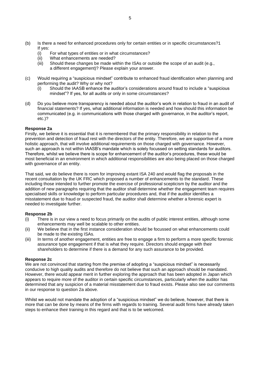- (b) Is there a need for enhanced procedures only for certain entities or in specific circumstances?1 If yes:
	- (i) For what types of entities or in what circumstances?
	- (ii) What enhancements are needed?
	- (iii) Should these changes be made within the ISAs or outside the scope of an audit (e.g., a different engagement)? Please explain your answer.
- (c) Would requiring a "suspicious mindset" contribute to enhanced fraud identification when planning and performing the audit? Why or why not?
	- (i) Should the IAASB enhance the auditor's considerations around fraud to include a "suspicious mindset"? If yes, for all audits or only in some circumstances?
- (d) Do you believe more transparency is needed about the auditor's work in relation to fraud in an audit of financial statements? If yes, what additional information is needed and how should this information be communicated (e.g. in communications with those charged with governance, in the auditor's report, etc.)?

## **Response 2a**

Firstly, we believe it is essential that it is remembered that the primary responsibility in relation to the prevention and detection of fraud rest with the directors of the entity. Therefore, we are supportive of a more holistic approach, that will involve additional requirements on those charged with governance. However, such an approach is not within IAASB's mandate which is solely focussed on setting standards for auditors. Therefore, whilst we believe there is scope for enhancement of the auditor's procedures, these would be most beneficial in an environment in which additional responsibilities are also being placed on those charged with governance of an entity.

That said, we do believe there is room for improving extant ISA 240 and would flag the proposals in the recent consultation by the UK FRC which proposed a number of enhancements to the standard. These including those intended to further promote the exercise of professional scepticism by the auditor and the addition of new paragraphs requiring that the auditor shall determine whether the engagement team requires specialised skills or knowledge to perform particular procedures and, that if the auditor identifies a misstatement due to fraud or suspected fraud, the auditor shall determine whether a forensic expert is needed to investigate further.

#### **Response 2b**

- (i) There is in our view a need to focus primarily on the audits of public interest entities, although some enhancements may well be scalable to other entities.
- (ii) We believe that in the first instance consideration should be focussed on what enhancements could be made to the existing ISAs.
- (iii) In terms of another engagement, entities are free to engage a firm to perform a more specific forensic assurance type engagement if that is what they require. Directors should engage with their shareholders to determine if there is a demand for any such assurance to be provided.

#### **Response 2c**

We are not convinced that starting from the premise of adopting a "suspicious mindset" is necessarily conducive to high quality audits and therefore do not believe that such an approach should be mandated. However, there would appear merit in further exploring the approach that has been adopted in Japan which appears to require more of the auditor in certain specific circumstances, particularly when the auditor has determined that any suspicion of a material misstatement due to fraud exists. Please also see our comments in our response to question 2a above.

Whilst we would not mandate the adoption of a "suspicious mindset" we do believe, however, that there is more that can be done by means of the firms with regards to training. Several audit firms have already taken steps to enhance their training in this regard and that is to be welcomed.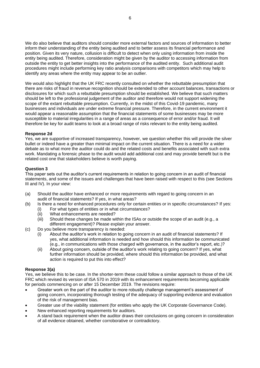We do also believe that auditors should consider more external factors and sources of information to better inform their understanding of the entity being audited and to better assess its financial performance and position. Given its very nature, collusion is difficult to detect when only using information from inside the entity being audited. Therefore, consideration might be given by the auditor to accessing information from outside the entity to get better insights into the performance of the audited entity. Such additional audit procedures might include performing key ratio analysis comparisons with competitors which may help to identify any areas where the entity may appear to be an outlier.

We would also highlight that the UK FRC recently consulted on whether the rebuttable presumption that there are risks of fraud in revenue recognition should be extended to other account balances, transactions or disclosures for which such a rebuttable presumption should be established. We believe that such matters should be left to the professional judgement of the auditor and therefore would not support widening the scope of the extant rebuttable presumption. Currently, in the midst of this Covid-19 pandemic, many businesses and individuals are under extreme financial pressure. Therefore, in the current environment it would appear a reasonable assumption that the financial statements of some businesses may be more susceptible to material irregularities in a range of areas as a consequence of error and/or fraud. It will therefore be key for audit teams to look at a broad range of risks relevant to the entity being audited.

# **Response 2d**

Yes, we are supportive of increased transparency, however, we question whether this will provide the silver bullet or indeed have a greater than minimal impact on the current situation. There is a need for a wider debate as to what more the auditor could do and the related costs and benefits associated with such extra work. Mandating a forensic phase to the audit would add additional cost and may provide benefit but is the related cost one that stakeholders believe is worth paying.

## **Question 3**

This paper sets out the auditor's current requirements in relation to going concern in an audit of financial statements, and some of the issues and challenges that have been raised with respect to this (see Sections III and IV). In your view:

- (a) Should the auditor have enhanced or more requirements with regard to going concern in an audit of financial statements? If yes, in what areas?
- (b) Is there a need for enhanced procedures only for certain entities or in specific circumstances? If yes:
	- (i) For what types of entities or in what circumstances?
	- (ii) What enhancements are needed?
	- (iii) Should these changes be made within the ISAs or outside the scope of an audit (e.g., a different engagement)? Please explain your answer.
- (c) Do you believe more transparency is needed:
	- (i) About the auditor's work in relation to going concern in an audit of financial statements? If yes, what additional information is needed and how should this information be communicated (e.g., in communications with those charged with governance, in the auditor's report, etc.)?
	- (ii) About going concern, outside of the auditor's work relating to going concern? If yes, what further information should be provided, where should this information be provided, and what action is required to put this into effect?

# **Response 3(a)**

Yes, we believe this to be case. In the shorter-term these could follow a similar approach to those of the UK FRC which revised its version of ISA 570 in 2019 with its enhancement requirements becoming applicable for periods commencing on or after 15 December 2019. The revisions require:

- Greater work on the part of the auditor to more robustly challenge management's assessment of going concern, incorporating thorough testing of the adequacy of supporting evidence and evaluation of the risk of management bias.
- Greater use of the viability statement (for entities who apply the UK Corporate Governance Code).
- New enhanced reporting requirements for auditors.
- A stand back requirement when the auditor draws their conclusions on going concern in consideration of all evidence obtained, whether corroborative or contradictory.